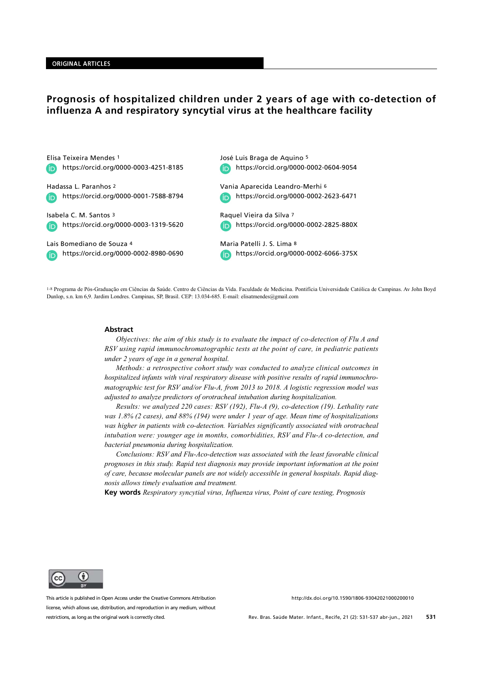# Prognosis of hospitalized children under 2 years of age with co-detection of influenza A and respiratory syncytial virus at the healthcare facility

Elisa Teixeira Mendes 1 https://orcid.org/0000-0003-4251-8185 **ID** 

Hadassa L. Paranhos 2 https://orcid.org/0000-0001-7588-8794

Isabela C. M. Santos 3 https://orcid.org/0000-0003-1319-5620

Lais Bomediano de Souza 4 https://orcid.org/0000-0002-8980-0690 José Luis Braga de Aquino 5 https://orcid.org/0000-0002-0604-9054

Vania Aparecida Leandro-Merhi 6 https://orcid.org/0000-0002-2623-6471

Raquel Vieira da Silva 7 https://orcid.org/0000-0002-2825-880X

Maria Patelli J. S. Lima 8 https://orcid.org/0000-0002-6066-375X(in)

1-8 Programa de Pós-Graduação em Ciências da Saúde. Centro de Ciências da Vida. Faculdade de Medicina. Pontifícia Universidade Católica de Campinas. Av John Boyd Dunlop, s.n. km 6,9. Jardim Londres. Campinas, SP, Brasil. CEP: 13.034-685. E-mail: elisatmendes@gmail.com

#### **Abstract**

Objectives: the aim of this study is to evaluate the impact of co-detection of Flu A and RSV using rapid immunochromatographic tests at the point of care, in pediatric patients under 2 years of age in a general hospital.

Methods: a retrospective cohort study was conducted to analyze clinical outcomes in hospitalized infants with viral respiratory disease with positive results of rapid immunochromatographic test for RSV and/or Flu-A, from 2013 to 2018. A logistic regression model was adjusted to analyze predictors of orotracheal intubation during hospitalization.

Results: we analyzed 220 cases: RSV (192), Flu-A (9), co-detection (19). Lethality rate was 1.8% (2 cases), and 88% (194) were under 1 year of age. Mean time of hospitalizations was higher in patients with co-detection. Variables significantly associated with orotracheal intubation were: younger age in months, comorbidities, RSV and Flu-A co-detection, and bacterial pneumonia during hospitalization.

Conclusions: RSV and Flu-Aco-detection was associated with the least favorable clinical prognoses in this study. Rapid test diagnosis may provide important information at the point of care, because molecular panels are not widely accessible in general hospitals. Rapid diagnosis allows timely evaluation and treatment.

Key words Respiratory syncytial virus, Influenza virus, Point of care testing, Prognosis



This article is published in Open Access under the Creative Commons Attribution license, which allows use, distribution, and reproduction in any medium, without restrictions, as long as the original work is correctly cited.

http://dx.doi.org/10.1590/1806-93042021000200010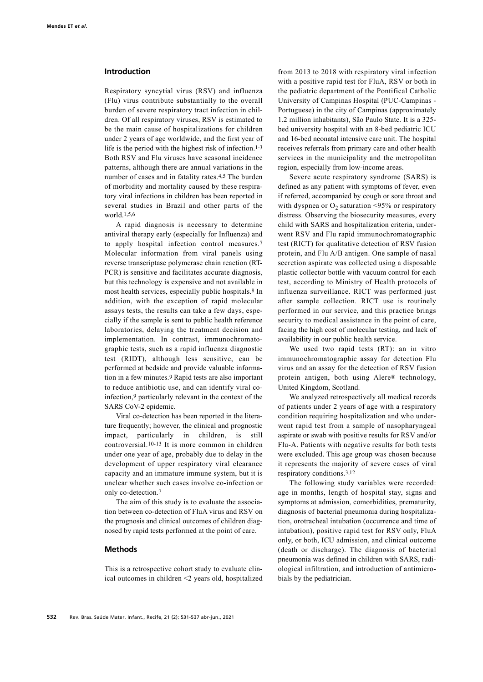### Introduction

Respiratory syncytial virus (RSV) and influenza (Flu) virus contribute substantially to the overall burden of severe respiratory tract infection in children. Of all respiratory viruses, RSV is estimated to be the main cause of hospitalizations for children under 2 years of age worldwide, and the first year of life is the period with the highest risk of infection.1-3 Both RSV and Flu viruses have seasonal incidence patterns, although there are annual variations in the number of cases and in fatality rates.4,5 The burden of morbidity and mortality caused by these respiratory viral infections in children has been reported in several studies in Brazil and other parts of the world.1,5,6

A rapid diagnosis is necessary to determine antiviral therapy early (especially for Influenza) and to apply hospital infection control measures.7 Molecular information from viral panels using reverse transcriptase polymerase chain reaction (RT-PCR) is sensitive and facilitates accurate diagnosis, but this technology is expensive and not available in most health services, especially public hospitals.8 In addition, with the exception of rapid molecular assays tests, the results can take a few days, especially if the sample is sent to public health reference laboratories, delaying the treatment decision and implementation. In contrast, immunochromatographic tests, such as a rapid influenza diagnostic test (RIDT), although less sensitive, can be performed at bedside and provide valuable information in a few minutes.9 Rapid tests are also important to reduce antibiotic use, and can identify viral coinfection,9 particularly relevant in the context of the SARS CoV-2 epidemic.

Viral co-detection has been reported in the literature frequently; however, the clinical and prognostic impact, particularly in children, is still controversial.10-13 It is more common in children under one year of age, probably due to delay in the development of upper respiratory viral clearance capacity and an immature immune system, but it is unclear whether such cases involve co-infection or only co-detection.7

The aim of this study is to evaluate the association between co-detection of FluA virus and RSV on the prognosis and clinical outcomes of children diagnosed by rapid tests performed at the point of care.

### Methods

This is a retrospective cohort study to evaluate clinical outcomes in children <2 years old, hospitalized

from 2013 to 2018 with respiratory viral infection with a positive rapid test for FluA, RSV or both in the pediatric department of the Pontifical Catholic University of Campinas Hospital (PUC-Campinas - Portuguese) in the city of Campinas (approximately 1.2 million inhabitants), São Paulo State. It is a 325 bed university hospital with an 8-bed pediatric ICU and 16-bed neonatal intensive care unit. The hospital receives referrals from primary care and other health services in the municipality and the metropolitan region, especially from low-income areas.

Severe acute respiratory syndrome (SARS) is defined as any patient with symptoms of fever, even if referred, accompanied by cough or sore throat and with dyspnea or  $O_2$  saturation <95% or respiratory distress. Observing the biosecurity measures, every child with SARS and hospitalization criteria, underwent RSV and Flu rapid immunochromatographic test (RICT) for qualitative detection of RSV fusion protein, and Flu A/B antigen. One sample of nasal secretion aspirate was collected using a disposable plastic collector bottle with vacuum control for each test, according to Ministry of Health protocols of influenza surveillance. RICT was performed just after sample collection. RICT use is routinely performed in our service, and this practice brings security to medical assistance in the point of care, facing the high cost of molecular testing, and lack of availability in our public health service.

We used two rapid tests (RT): an in vitro immunochromatographic assay for detection Flu virus and an assay for the detection of RSV fusion protein antigen, both using Alere® technology, United Kingdom, Scotland.

We analyzed retrospectively all medical records of patients under 2 years of age with a respiratory condition requiring hospitalization and who underwent rapid test from a sample of nasopharyngeal aspirate or swab with positive results for RSV and/or Flu-A. Patients with negative results for both tests were excluded. This age group was chosen because it represents the majority of severe cases of viral respiratory conditions.3,12

The following study variables were recorded: age in months, length of hospital stay, signs and symptoms at admission, comorbidities, prematurity, diagnosis of bacterial pneumonia during hospitalization, orotracheal intubation (occurrence and time of intubation), positive rapid test for RSV only, FluA only, or both, ICU admission, and clinical outcome (death or discharge). The diagnosis of bacterial pneumonia was defined in children with SARS, radiological infiltration, and introduction of antimicrobials by the pediatrician.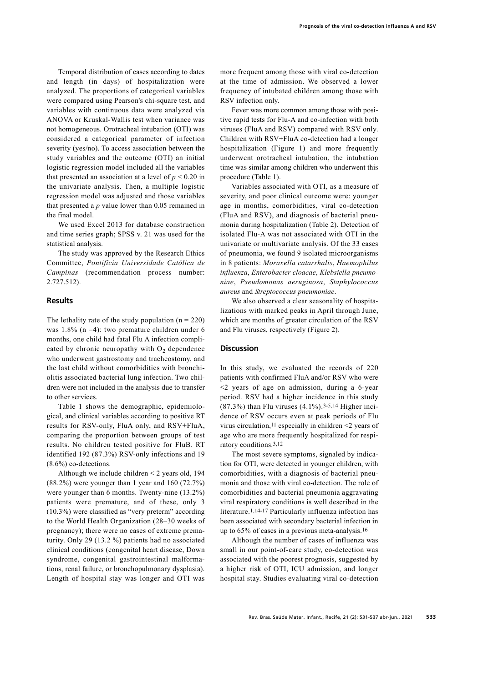Temporal distribution of cases according to dates and length (in days) of hospitalization were analyzed. The proportions of categorical variables were compared using Pearson's chi-square test, and variables with continuous data were analyzed via ANOVA or Kruskal-Wallis test when variance was not homogeneous. Orotracheal intubation (OTI) was considered a categorical parameter of infection severity (yes/no). To access association between the study variables and the outcome (OTI) an initial logistic regression model included all the variables that presented an association at a level of  $p < 0.20$  in the univariate analysis. Then, a multiple logistic regression model was adjusted and those variables that presented a  $p$  value lower than 0.05 remained in the final model.

We used Excel 2013 for database construction and time series graph; SPSS v. 21 was used for the statistical analysis.

The study was approved by the Research Ethics Committee, Pontifícia Universidade Católica de Campinas (recommendation process number: 2.727.512).

## **Results**

The lethality rate of the study population  $(n = 220)$ was  $1.8\%$  (n =4): two premature children under 6 months, one child had fatal Flu A infection complicated by chronic neuropathy with  $O_2$  dependence who underwent gastrostomy and tracheostomy, and the last child without comorbidities with bronchiolitis associated bacterial lung infection. Two children were not included in the analysis due to transfer to other services.

Table 1 shows the demographic, epidemiological, and clinical variables according to positive RT results for RSV-only, FluA only, and RSV+FluA, comparing the proportion between groups of test results. No children tested positive for FluB. RT identified 192 (87.3%) RSV-only infections and 19 (8.6%) co-detections.

Although we include children < 2 years old, 194 (88.2%) were younger than 1 year and 160 (72.7%) were younger than 6 months. Twenty-nine (13.2%) patients were premature, and of these, only 3 (10.3%) were classified as "very preterm" according to the World Health Organization (28–30 weeks of pregnancy); there were no cases of extreme prematurity. Only 29 (13.2 %) patients had no associated clinical conditions (congenital heart disease, Down syndrome, congenital gastrointestinal malformations, renal failure, or bronchopulmonary dysplasia). Length of hospital stay was longer and OTI was

more frequent among those with viral co-detection at the time of admission. We observed a lower frequency of intubated children among those with RSV infection only.

Fever was more common among those with positive rapid tests for Flu-A and co-infection with both viruses (FluA and RSV) compared with RSV only. Children with RSV+FluA co-detection had a longer hospitalization (Figure 1) and more frequently underwent orotracheal intubation, the intubation time was similar among children who underwent this procedure (Table 1).

Variables associated with OTI, as a measure of severity, and poor clinical outcome were: younger age in months, comorbidities, viral co-detection (FluA and RSV), and diagnosis of bacterial pneumonia during hospitalization (Table 2). Detection of isolated Flu-A was not associated with OTI in the univariate or multivariate analysis. Of the 33 cases of pneumonia, we found 9 isolated microorganisms in 8 patients: Moraxella catarrhalis, Haemophilus influenza, Enterobacter cloacae, Klebsiella pneumoniae, Pseudomonas aeruginosa, Staphylococcus aureus and Streptococcus pneumoniae.

We also observed a clear seasonality of hospitalizations with marked peaks in April through June, which are months of greater circulation of the RSV and Flu viruses, respectively (Figure 2).

### **Discussion**

In this study, we evaluated the records of 220 patients with confirmed FluA and/or RSV who were <2 years of age on admission, during a 6-year period. RSV had a higher incidence in this study (87.3%) than Flu viruses (4.1%).3-5,14 Higher incidence of RSV occurs even at peak periods of Flu virus circulation,11 especially in children <2 years of age who are more frequently hospitalized for respiratory conditions.3,12

The most severe symptoms, signaled by indication for OTI, were detected in younger children, with comorbidities, with a diagnosis of bacterial pneumonia and those with viral co-detection. The role of comorbidities and bacterial pneumonia aggravating viral respiratory conditions is well described in the literature.1,14-17 Particularly influenza infection has been associated with secondary bacterial infection in up to 65% of cases in a previous meta-analysis.16

Although the number of cases of influenza was small in our point-of-care study, co-detection was associated with the poorest prognosis, suggested by a higher risk of OTI, ICU admission, and longer hospital stay. Studies evaluating viral co-detection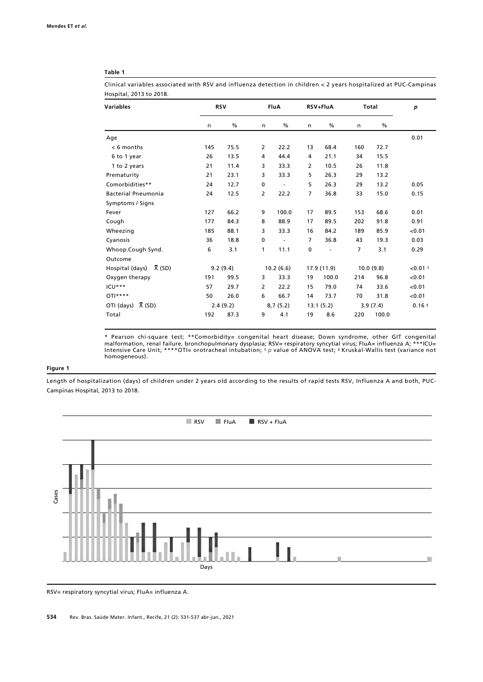### Table 1

Clinical variables associated with RSV and influenza detection in children < 2 years hospitalized at PUC-Campinas Hospital, 2013 to 2018.

| Variables                      | <b>RSV</b> |          | <b>FluA</b>    |               | RSV+FluA  |             | Total          |               | p          |
|--------------------------------|------------|----------|----------------|---------------|-----------|-------------|----------------|---------------|------------|
|                                | n          | $\%$     | n              | $\frac{0}{0}$ | n         | %           | n              | $\frac{0}{0}$ |            |
| Age                            |            |          |                |               |           |             |                |               | 0.01       |
| $< 6$ months                   | 145        | 75.5     | $\overline{2}$ | 22.2          | 13        | 68.4        | 160            | 72.7          |            |
| 6 to 1 year                    | 26         | 13.5     | 4              | 44.4          | 4         | 21.1        | 34             | 15.5          |            |
| 1 to 2 years                   | 21         | 11.4     | 3              | 33.3          | 2         | 10.5        | 26             | 11.8          |            |
| Prematurity                    | 21         | 23.1     | 3              | 33.3          | 5         | 26.3        | 29             | 13.2          |            |
| Comorbidities**                | 24         | 12.7     | 0              | $\frac{1}{2}$ | 5         | 26.3        | 29             | 13.2          | 0.05       |
| <b>Bacterial Pneumonia</b>     | 24         | 12.5     | $\overline{2}$ | 22.2          | 7         | 36.8        | 33             | 15.0          | 0.15       |
| Symptoms / Signs               |            |          |                |               |           |             |                |               |            |
| Fever                          | 127        | 66.2     | 9              | 100.0         | 17        | 89.5        | 153            | 68.6          | 0.01       |
| Cough                          | 177        | 84.3     | 8              | 88.9          | 17        | 89.5        | 202            | 91.8          | 0.91       |
| Wheezing                       | 185        | 88.1     | 3              | 33.3          | 16        | 84.2        | 189            | 85.9          | < 0.01     |
| Cyanosis                       | 36         | 18.8     | 0              | ۰             | 7         | 36.8        | 43             | 19.3          | 0.03       |
| Whoop.Cough Synd.              | 6          | 3.1      | 1              | 11.1          | $\pmb{0}$ | ٠           | $\overline{7}$ | 3.1           | 0.29       |
| Outcome                        |            |          |                |               |           |             |                |               |            |
| Hospital (days) $\bar{X}$ (SD) |            | 9.2(9.4) |                | 10.2(6.6)     |           | 17.9 (11.9) |                | 10.0(9.8)     | $< 0.01 +$ |
| Oxygen therapy                 | 191        | 99.5     | 3              | 33.3          | 19        | 100.0       | 214            | 96.8          | < 0.01     |
| ICU***                         | 57         | 29.7     | $\overline{2}$ | 22.2          | 15        | 79.0        | 74             | 33.6          | < 0.01     |
| $OTI***$                       | 50         | 26.0     | 6              | 66.7          | 14        | 73.7        | 70             | 31.8          | < 0.01     |
| OTI (days) $\bar{X}$ (SD)      |            | 2.4(9.2) |                | 8,7(5.2)      |           | 13.1(5.2)   |                | 3.9(7.4)      | $0.16 +$   |
| Total                          | 192        | 87.3     | 9              | 4.1           | 19        | 8.6         | 220            | 100.0         |            |

\* Pearson chi-square test; \*\*Comorbidity= congenital heart disease; Down syndrome, other GIT congenital malformation, renal failure, bronchopulmonary dysplasia; RSV= respiratory syncytial virus; FluA= influenza A; \*\*\*ICU= Intensive Care Unit; \*\*\*\*OTI= orotracheal intubation; † p value of ANOVA test; ‡ Kruskal-Wallis test (variance not homogeneous).

### Figure 1

Length of hospitalization (days) of children under 2 years old according to the results of rapid tests RSV, Influenza A and both, PUC-Campinas Hospital, 2013 to 2018.



RSV= respiratory syncytial virus; FluA= influenza A.

534 Rev. Bras. Saúde Mater. Infant., Recife, 21 (2): 531-537 abr-jun., 2021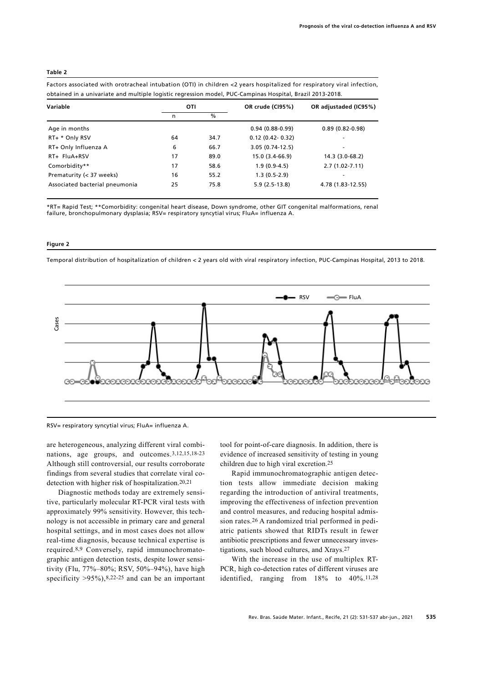#### Table 2

Factors associated with orotracheal intubation (OTI) in children <2 years hospitalized for respiratory viral infection, obtained in a univariate and multiple logistic regression model, PUC-Campinas Hospital, Brazil 2013-2018.

| Variable                       | OTI |               | OR crude (CI95%)  | OR adjustaded (IC95%) |  |
|--------------------------------|-----|---------------|-------------------|-----------------------|--|
|                                | n   | $\frac{0}{0}$ |                   |                       |  |
| Age in months                  |     |               | $0.94(0.88-0.99)$ | $0.89(0.82-0.98)$     |  |
| RT+ * Only RSV                 | 64  | 34.7          | $0.12(0.42-0.32)$ | ۰                     |  |
| RT+ Only Influenza A           | 6   | 66.7          | $3.05(0.74-12.5)$ | ۰                     |  |
| RT+ FluA+RSV                   | 17  | 89.0          | 15.0 (3.4-66.9)   | 14.3 (3.0-68.2)       |  |
| Comorbidity**                  | 17  | 58.6          | $1.9(0.9-4.5)$    | $2.7(1.02 - 7.11)$    |  |
| Prematurity (< 37 weeks)       | 16  | 55.2          | $1.3(0.5-2.9)$    | ۰                     |  |
| Associated bacterial pneumonia | 25  | 75.8          | $5.9(2.5-13.8)$   | 4.78 (1.83-12.55)     |  |

\*RT= Rapid Test; \*\*Comorbidity: congenital heart disease, Down syndrome, other GIT congenital malformations, renal failure, bronchopulmonary dysplasia; RSV= respiratory syncytial virus; FluA= influenza A.

#### Figure 2

Temporal distribution of hospitalization of children < 2 years old with viral respiratory infection, PUC-Campinas Hospital, 2013 to 2018.





are heterogeneous, analyzing different viral combinations, age groups, and outcomes.3,12,15,18-23 Although still controversial, our results corroborate findings from several studies that correlate viral codetection with higher risk of hospitalization.20,21

Diagnostic methods today are extremely sensitive, particularly molecular RT-PCR viral tests with approximately 99% sensitivity. However, this technology is not accessible in primary care and general hospital settings, and in most cases does not allow real-time diagnosis, because technical expertise is required.8,9 Conversely, rapid immunochromatographic antigen detection tests, despite lower sensitivity (Flu, 77%–80%; RSV, 50%–94%), have high specificity  $>95\%$ , 8,22-25 and can be an important tool for point-of-care diagnosis. In addition, there is evidence of increased sensitivity of testing in young children due to high viral excretion.25

Rapid immunochromatographic antigen detection tests allow immediate decision making regarding the introduction of antiviral treatments, improving the effectiveness of infection prevention and control measures, and reducing hospital admission rates.26 A randomized trial performed in pediatric patients showed that RIDTs result in fewer antibiotic prescriptions and fewer unnecessary investigations, such blood cultures, and Xrays.27

With the increase in the use of multiplex RT-PCR, high co-detection rates of different viruses are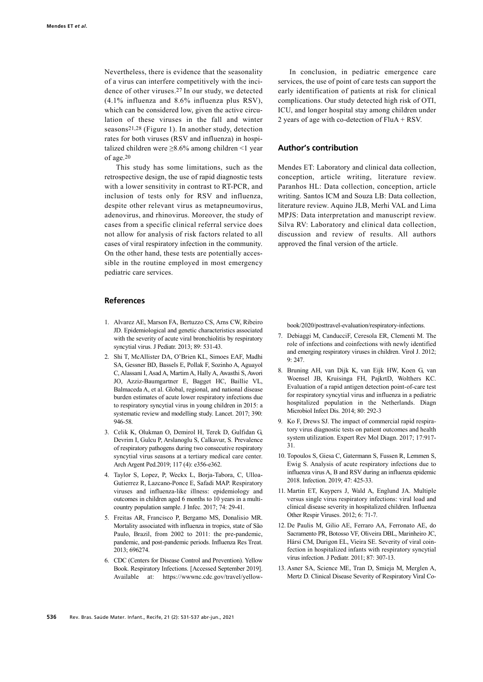Nevertheless, there is evidence that the seasonality of a virus can interfere competitively with the incidence of other viruses.27 In our study, we detected (4.1% influenza and 8.6% influenza plus RSV), which can be considered low, given the active circulation of these viruses in the fall and winter seasons21,28 (Figure 1). In another study, detection rates for both viruses (RSV and influenza) in hospitalized children were  $\geq 8.6\%$  among children <1 year of age.20

This study has some limitations, such as the retrospective design, the use of rapid diagnostic tests with a lower sensitivity in contrast to RT-PCR, and inclusion of tests only for RSV and influenza, despite other relevant virus as metapneumovirus, adenovirus, and rhinovirus. Moreover, the study of cases from a specific clinical referral service does not allow for analysis of risk factors related to all cases of viral respiratory infection in the community. On the other hand, these tests are potentially accessible in the routine employed in most emergency pediatric care services.

# References

- 1. Alvarez AE, Marson FA, Bertuzzo CS, Arns CW, Ribeiro JD. Epidemiological and genetic characteristics associated with the severity of acute viral bronchiolitis by respiratory syncytial virus. J Pediatr. 2013; 89: 531-43.
- 2. Shi T, McAllister DA, O'Brien KL, Simoes EAF, Madhi SA, Gessner BD, Bassels E, Pollak F, Sozinho A, Aguayol C, Alassani I, Asad A, Martim A, Hally A, Awasthi S, Awori JO, Azziz-Baumgartner E, Bagget HC, Baillie VL, Balmaceda A, et al. Global, regional, and national disease burden estimates of acute lower respiratory infections due to respiratory syncytial virus in young children in 2015: a systematic review and modelling study. Lancet. 2017; 390: 946-58.
- 3. Celik K, Olukman O, Demirol H, Terek D, Gulfidan G, Devrim I, Gulcu P, Arslanoglu S, Calkavur, S. Prevalence of respiratory pathogens during two consecutive respiratory syncytial virus seasons at a tertiary medical care center. Arch Argent Ped.2019; 117 (4): e356-e362.
- 4. Taylor S, Lopez, P, Weckx L, Borja-Tabora, C, Ulloa-Gutierrez R, Lazcano-Ponce E, Safadi MAP. Respiratory viruses and influenza-like illness: epidemiology and outcomes in children aged 6 months to 10 years in a multicountry population sample. J Infec. 2017; 74: 29-41.
- 5. Freitas AR, Francisco P, Bergamo MS, Donalisio MR. Mortality associated with influenza in tropics, state of São Paulo, Brazil, from 2002 to 2011: the pre-pandemic, pandemic, and post-pandemic periods. Influenza Res Treat. 2013; 696274.
- 6. CDC (Centers for Disease Control and Prevention). Yellow Book. Respiratory Infections. [Accessed September 2019]. Available at: https://wwwnc.cdc.gov/travel/yellow-

In conclusion, in pediatric emergence care services, the use of point of care tests can support the early identification of patients at risk for clinical complications. Our study detected high risk of OTI, ICU, and longer hospital stay among children under 2 years of age with co-detection of FluA + RSV.

# Author's contribution

Mendes ET: Laboratory and clinical data collection, conception, article writing, literature review. Paranhos HL: Data collection, conception, article writing. Santos ICM and Souza LB: Data collection, literature review. Aquino JLB, Merhi VAL and Lima MPJS: Data interpretation and manuscript review. Silva RV: Laboratory and clinical data collection, discussion and review of results. All authors approved the final version of the article.

book/2020/posttravel-evaluation/respiratory-infections.

- 7. Debiaggi M, CanducciF, Ceresola ER, Clementi M. The role of infections and coinfections with newly identified and emerging respiratory viruses in children. Virol J. 2012; 9: 247.
- 8. Bruning AH, van Dijk K, van Eijk HW, Koen G, van Woensel JB, Kruisinga FH, PajkrtD, Wolthers KC. Evaluation of a rapid antigen detection point-of-care test for respiratory syncytial virus and influenza in a pediatric hospitalized population in the Netherlands. Diagn Microbiol Infect Dis. 2014; 80: 292-3
- 9. Ko F, Drews SJ. The impact of commercial rapid respiratory virus diagnostic tests on patient outcomes and health system utilization. Expert Rev Mol Diagn. 2017; 17:917- 31.
- 10. Topoulos S, Giesa C, Gatermann S, Fussen R, Lemmen S, Ewig S. Analysis of acute respiratory infections due to influenza virus A, B and RSV during an influenza epidemic 2018. Infection. 2019; 47: 425-33.
- 11. Martin ET, Kuypers J, Wald A, Englund JA. Multiple versus single virus respiratory infections: viral load and clinical disease severity in hospitalized children. Influenza Other Respir Viruses. 2012; 6: 71-7.
- 12. De Paulis M, Gilio AE, Ferraro AA, Ferronato AE, do Sacramento PR, Botosso VF, Oliveira DBL, Marinheiro JC, Hársi CM, Durigon EL, Vieira SE. Severity of viral coinfection in hospitalized infants with respiratory syncytial vírus infection. J Pediatr. 2011; 87: 307-13.
- 13. Asner SA, Science ME, Tran D, Smieja M, Merglen A, Mertz D. Clinical Disease Severity of Respiratory Viral Co-